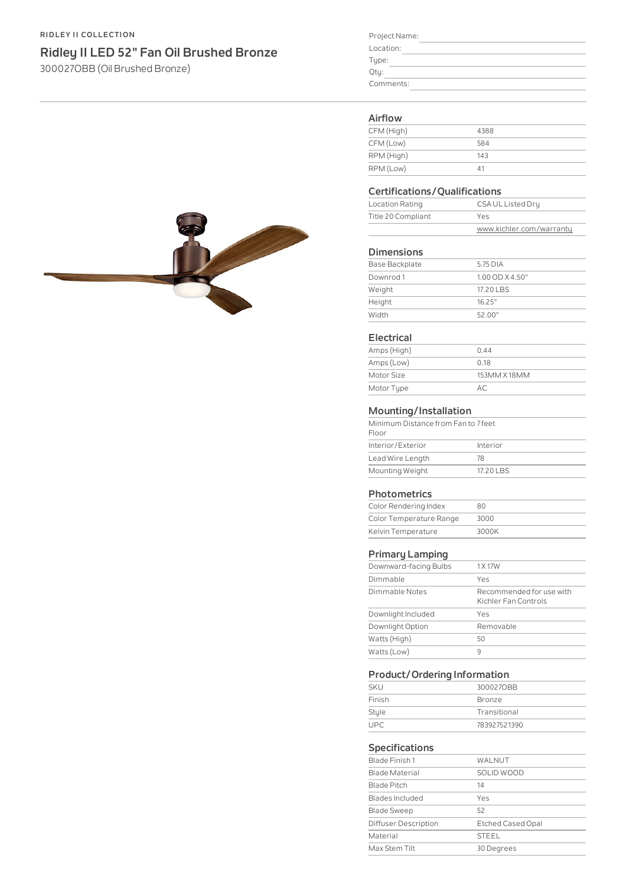#### **RIDLEY II COLLECTION**

## **Ridley II LED 52" Fan Oil Brushed Bronze**

300027OBB (OilBrushed Bronze)

| Project Name: |  |
|---------------|--|
| Location:     |  |
| Type:         |  |
| Qty:          |  |
| Comments:     |  |
|               |  |

#### **Airflow**

| 4388 |
|------|
| 584  |
| 143  |
| 41   |
|      |

#### **Certifications/Qualifications**

| CSA UL Listed Dry<br>Location Rating |                          |
|--------------------------------------|--------------------------|
| Title 20 Compliant                   | Yes                      |
|                                      | www.kichler.com/warranty |

#### **Dimensions**

| Base Backplate | 5.75 DIA            |
|----------------|---------------------|
| Downrod 1      | $1.00$ OD $X$ 4.50" |
| Weight         | 17.20 LBS           |
| Height         | 16.25"              |
| Width          | 52.00"              |

#### **Electrical**

| Amps (High) | 0.44         |  |
|-------------|--------------|--|
| Amps (Low)  | 0.18         |  |
| Motor Size  | 153MM X 18MM |  |
| Motor Type  | AC           |  |

### **Mounting/Installation**

| Minimum Distance from Fan to 7 feet |
|-------------------------------------|
| Interior                            |
| 78                                  |
| 17.20 LBS                           |
|                                     |

#### **Photometrics**

| Color Rendering Index   | 80    |
|-------------------------|-------|
| Color Temperature Range | 3000  |
| Kelvin Temperature      | 3000K |

### **Primary Lamping**

| Downward-facing Bulbs | 1 X 17 W                                         |  |  |
|-----------------------|--------------------------------------------------|--|--|
| Dimmable              | Yes                                              |  |  |
| Dimmable Notes        | Recommended for use with<br>Kichler Fan Controls |  |  |
| Downlight Included    | Yes                                              |  |  |
| Downlight Option      | Removable                                        |  |  |
| Watts (High)          | 50                                               |  |  |
| Watts (Low)           | q                                                |  |  |

#### **Product/Ordering Information**

|            | -            |  |
|------------|--------------|--|
| <b>SKU</b> | 3000270BB    |  |
| Finish     | Bronze       |  |
| Style      | Transitional |  |
| LIPC       | 783927521390 |  |

#### **Specifications**

| Blade Finish 1       | WALNUT                   |
|----------------------|--------------------------|
| Blade Material       | SOLID WOOD               |
| Blade Pitch          | 14                       |
| Blades Included      | Yes                      |
| <b>Blade Sweep</b>   | 52                       |
| Diffuser Description | <b>Etched Cased Opal</b> |
| Material             | <b>STEEL</b>             |
| Max Stem Tilt        | 30 Degrees               |
|                      |                          |